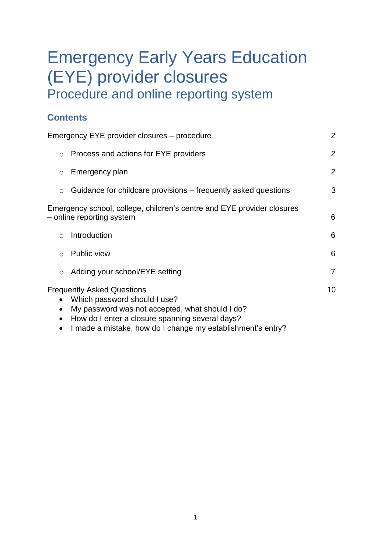# Emergency Early Years Education (EYE) provider closures Procedure and online reporting system

# **Contents**

|                                                                                                     | Emergency EYE provider closures - procedure                                                                                                                             | $\overline{2}$ |  |  |
|-----------------------------------------------------------------------------------------------------|-------------------------------------------------------------------------------------------------------------------------------------------------------------------------|----------------|--|--|
| $\circ$                                                                                             | Process and actions for EYE providers                                                                                                                                   | $\overline{2}$ |  |  |
| $\circ$                                                                                             | Emergency plan                                                                                                                                                          | $\overline{2}$ |  |  |
| $\circ$                                                                                             | Guidance for childcare provisions – frequently asked questions                                                                                                          | 3              |  |  |
| Emergency school, college, children's centre and EYE provider closures<br>– online reporting system |                                                                                                                                                                         |                |  |  |
| $\circ$                                                                                             | Introduction                                                                                                                                                            | 6              |  |  |
| $\circ$                                                                                             | Public view                                                                                                                                                             | 6              |  |  |
| $\circ$                                                                                             | Adding your school/EYE setting                                                                                                                                          | $\overline{7}$ |  |  |
| $\bullet$<br>$\bullet$                                                                              | <b>Frequently Asked Questions</b><br>Which password should I use?<br>My password was not accepted, what should I do?<br>How do I enter a closure spanning several days? | 10             |  |  |

• I made a mistake, how do I change my establishment's entry?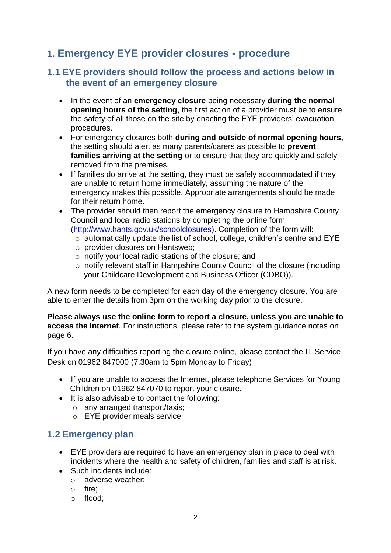# **1. Emergency EYE provider closures - procedure**

## **1.1 EYE providers should follow the process and actions below in the event of an emergency closure**

- In the event of an **emergency closure** being necessary **during the normal opening hours of the setting**, the first action of a provider must be to ensure the safety of all those on the site by enacting the EYE providers' evacuation procedures.
- For emergency closures both **during and outside of normal opening hours,**  the setting should alert as many parents/carers as possible to **prevent families arriving at the setting** or to ensure that they are quickly and safely removed from the premises.
- If families do arrive at the setting, they must be safely accommodated if they are unable to return home immediately, assuming the nature of the emergency makes this possible. Appropriate arrangements should be made for their return home.
- The provider should then report the emergency closure to Hampshire County Council and local radio stations by completing the online form (http://www.hants.gov.uk/schoolclosures). Completion of the form will:
	- o automatically update the list of school, college, children's centre and EYE
	- o provider closures on Hantsweb;
	- o notify your local radio stations of the closure; and
	- o notify relevant staff in Hampshire County Council of the closure (including your Childcare Development and Business Officer (CDBO)).

A new form needs to be completed for each day of the emergency closure. You are able to enter the details from 3pm on the working day prior to the closure.

**Please always use the online form to report a closure, unless you are unable to access the Internet**. For instructions, please refer to the system guidance notes on page 6.

If you have any difficulties reporting the closure online, please contact the IT Service Desk on 01962 847000 (7.30am to 5pm Monday to Friday)

- If you are unable to access the Internet, please telephone Services for Young Children on 01962 847070 to report your closure.
- It is also advisable to contact the following:
	- o any arranged transport/taxis;
	- o EYE provider meals service

## **1.2 Emergency plan**

- EYE providers are required to have an emergency plan in place to deal with incidents where the health and safety of children, families and staff is at risk.
- Such incidents include:
	- o adverse weather;
	- o fire;
	- o flood;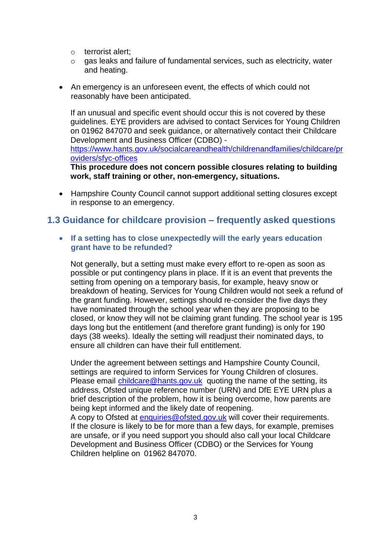- o terrorist alert;
- o gas leaks and failure of fundamental services, such as electricity, water and heating.
- An emergency is an unforeseen event, the effects of which could not reasonably have been anticipated.

If an unusual and specific event should occur this is not covered by these guidelines. EYE providers are advised to contact Services for Young Children on 01962 847070 and seek guidance, or alternatively contact their Childcare Development and Business Officer (CDBO) [https://www.hants.gov.uk/socialcareandhealth/childrenandfamilies/childcare/pr](https://www.hants.gov.uk/socialcareandhealth/childrenandfamilies/childcare/providers/sfyc-offices) [oviders/sfyc-offices](https://www.hants.gov.uk/socialcareandhealth/childrenandfamilies/childcare/providers/sfyc-offices)

**This procedure does not concern possible closures relating to building work, staff training or other, non-emergency, situations.**

 Hampshire County Council cannot support additional setting closures except in response to an emergency.

#### **1.3 Guidance for childcare provision – frequently asked questions**

 **If a setting has to close unexpectedly will the early years education grant have to be refunded?**

Not generally, but a setting must make every effort to re-open as soon as possible or put contingency plans in place. If it is an event that prevents the setting from opening on a temporary basis, for example, heavy snow or breakdown of heating, Services for Young Children would not seek a refund of the grant funding. However, settings should re-consider the five days they have nominated through the school year when they are proposing to be closed, or know they will not be claiming grant funding. The school year is 195 days long but the entitlement (and therefore grant funding) is only for 190 days (38 weeks). Ideally the setting will readjust their nominated days, to ensure all children can have their full entitlement.

Under the agreement between settings and Hampshire County Council, settings are required to inform Services for Young Children of closures. Please email [childcare@hants.gov.uk](mailto:childcare@hants.gov.uk) quoting the name of the setting, its address, Ofsted unique reference number (URN) and DfE EYE URN plus a brief description of the problem, how it is being overcome, how parents are being kept informed and the likely date of reopening. A copy to Ofsted at [enquiries@ofsted.gov.uk](mailto:enquiries@ofsted.gov.uk) will cover their requirements. If the closure is likely to be for more than a few days, for example, premises are unsafe, or if you need support you should also call your local Childcare Development and Business Officer (CDBO) or the Services for Young Children helpline on 01962 847070.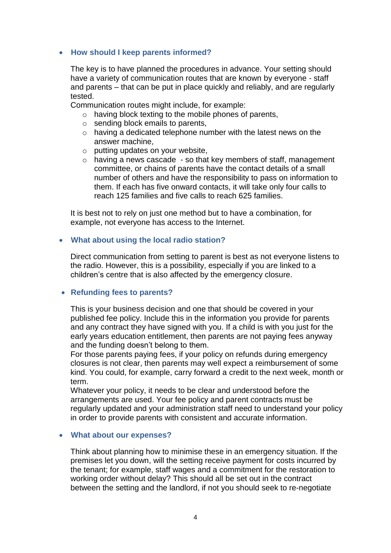#### **How should I keep parents informed?**

The key is to have planned the procedures in advance. Your setting should have a variety of communication routes that are known by everyone - staff and parents – that can be put in place quickly and reliably, and are regularly tested.

Communication routes might include, for example:

- o having block texting to the mobile phones of parents,
- $\circ$  sending block emails to parents,
- $\circ$  having a dedicated telephone number with the latest news on the answer machine,
- o putting updates on your website,
- $\circ$  having a news cascade so that key members of staff, management committee, or chains of parents have the contact details of a small number of others and have the responsibility to pass on information to them. If each has five onward contacts, it will take only four calls to reach 125 families and five calls to reach 625 families.

It is best not to rely on just one method but to have a combination, for example, not everyone has access to the Internet.

#### **What about using the local radio station?**

Direct communication from setting to parent is best as not everyone listens to the radio. However, this is a possibility, especially if you are linked to a children's centre that is also affected by the emergency closure.

#### **Refunding fees to parents?**

This is your business decision and one that should be covered in your published fee policy. Include this in the information you provide for parents and any contract they have signed with you. If a child is with you just for the early years education entitlement, then parents are not paying fees anyway and the funding doesn't belong to them.

For those parents paying fees, if your policy on refunds during emergency closures is not clear, then parents may well expect a reimbursement of some kind. You could, for example, carry forward a credit to the next week, month or term.

Whatever your policy, it needs to be clear and understood before the arrangements are used. Your fee policy and parent contracts must be regularly updated and your administration staff need to understand your policy in order to provide parents with consistent and accurate information.

#### **What about our expenses?**

Think about planning how to minimise these in an emergency situation. If the premises let you down, will the setting receive payment for costs incurred by the tenant; for example, staff wages and a commitment for the restoration to working order without delay? This should all be set out in the contract between the setting and the landlord, if not you should seek to re-negotiate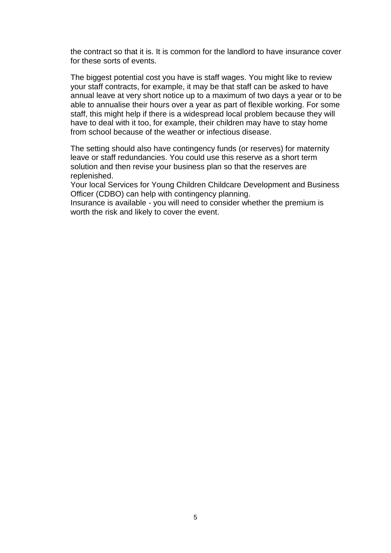the contract so that it is. It is common for the landlord to have insurance cover for these sorts of events.

The biggest potential cost you have is staff wages. You might like to review your staff contracts, for example, it may be that staff can be asked to have annual leave at very short notice up to a maximum of two days a year or to be able to annualise their hours over a year as part of flexible working. For some staff, this might help if there is a widespread local problem because they will have to deal with it too, for example, their children may have to stay home from school because of the weather or infectious disease.

The setting should also have contingency funds (or reserves) for maternity leave or staff redundancies. You could use this reserve as a short term solution and then revise your business plan so that the reserves are replenished.

Your local Services for Young Children Childcare Development and Business Officer (CDBO) can help with contingency planning.

Insurance is available - you will need to consider whether the premium is worth the risk and likely to cover the event.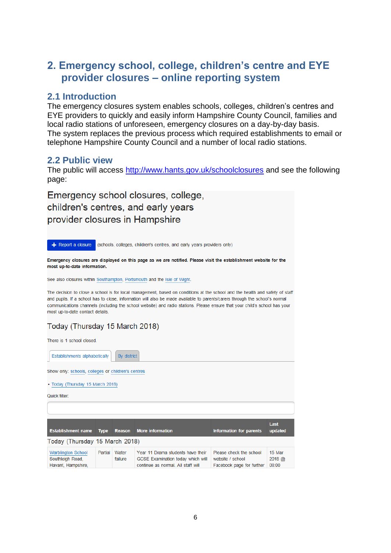# **2. Emergency school, college, children's centre and EYE provider closures – online reporting system**

#### **2.1 Introduction**

The emergency closures system enables schools, colleges, children's centres and EYE providers to quickly and easily inform Hampshire County Council, families and local radio stations of unforeseen, emergency closures on a day-by-day basis. The system replaces the previous process which required establishments to email or telephone Hampshire County Council and a number of local radio stations.

#### **2.2 Public view**

The public will access<http://www.hants.gov.uk/schoolclosures> and see the following page:

Emergency school closures, college, children's centres, and early years provider closures in Hampshire

 $\div$  Report a closure (schools, colleges, children's centres, and early years providers only) Emergency closures are displayed on this page as we are notified. Please visit the establishment website for the most up-to-date information. See also closures within Southampton, Portsmouth and the Isle of Wight The decision to close a school is for local management, based on conditions at the school and the health and safety of staff and pupils. If a school has to close, information will also be made available to parents/carers through the school's normal communications channels (including the school website) and radio stations. Please ensure that your child's school has your most up-to-date contact details Today (Thursday 15 March 2018) There is 1 school closed Establishments alphabetically By district

Show only: schools, colleges or children's centres · Today (Thursday 15 March 2018) Quick filter Last Establishment name Type Reason More information Information for parents updated Today (Thursday 15 March 2018) Warblington School Partial Water **15 Mar** Year 11 Drama students have their Please check the school Southleigh Road, failure GCSE Examination today which will website / school  $2018 \omega$ Havant, Hampshire, continue as normal. All staff will Facebook page for further 08:00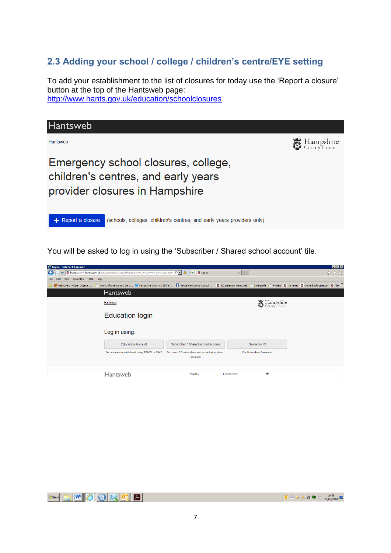# **2.3 Adding your school / college / children's centre/EYE setting**

To add your establishment to the list of closures for today use the 'Report a closure' button at the top of the Hantsweb page: <http://www.hants.gov.uk/education/schoolclosures>



You will be asked to log in using the 'Subscriber / Shared school account' tile.

| Log in - Internet Explorer                                                                                                                                                                                        |                                                            |                   |                               | E[X] |
|-------------------------------------------------------------------------------------------------------------------------------------------------------------------------------------------------------------------|------------------------------------------------------------|-------------------|-------------------------------|------|
| ▼ Ö https://www.hants.gov.uk/education/login/?gourl=https%3A%2F%2Fwww.hants.gov.uk% Q ▼   A                                                                                                                       | $+$<br>6 Log in                                            | $\times$          |                               | 价太符  |
| View Favorites Tools Help                                                                                                                                                                                         |                                                            |                   |                               |      |
| O Dashboard » Open Objects  [3] Family Information and Serv M Hampshire County C (@han  1] Hampshire County Cound    8] IBC gateway Hantsweb [3] Style guide [3] Printers   8] Hantsmet   8 Online booking report |                                                            |                   |                               |      |
| <b>Hantsweb</b>                                                                                                                                                                                                   |                                                            |                   |                               |      |
| Hantsweb                                                                                                                                                                                                          |                                                            |                   | 5 Hampshire<br>County Council |      |
| <b>Education login</b>                                                                                                                                                                                            |                                                            |                   |                               |      |
| Log in using:                                                                                                                                                                                                     |                                                            |                   |                               |      |
| <b>Education Account</b>                                                                                                                                                                                          | Subscriber / Shared school account                         |                   | Governor ID                   |      |
| For accounts administered using EAMW or SIMS                                                                                                                                                                      | For non-HCC subscribers and school-wide shared<br>accounts |                   | For Hampshire Governors       |      |
| Hantsweb                                                                                                                                                                                                          | Privacy                                                    | <b>Disclaimer</b> | $\circledcirc$                |      |



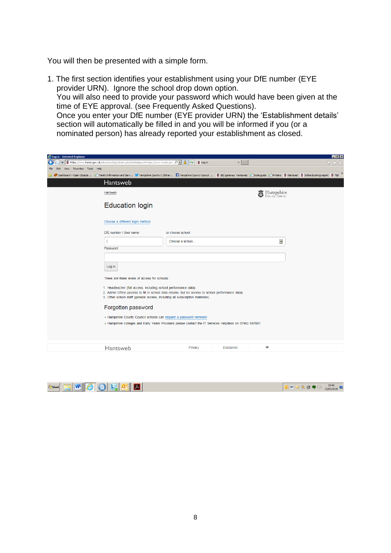You will then be presented with a simple form.

1. The first section identifies your establishment using your DfE number (EYE provider URN). Ignore the school drop down option. You will also need to provide your password which would have been given at the time of EYE approval. (see Frequently Asked Questions). Once you enter your DfE number (EYE provider URN) the 'Establishment details' section will automatically be filled in and you will be informed if you (or a nominated person) has already reported your establishment as closed.

| Log in - Internet Explorer                                                                                                                                                                                        |                                                                                                                                                                                   |                   |                                 | $-10$ $\times$ |  |  |  |  |
|-------------------------------------------------------------------------------------------------------------------------------------------------------------------------------------------------------------------|-----------------------------------------------------------------------------------------------------------------------------------------------------------------------------------|-------------------|---------------------------------|----------------|--|--|--|--|
| 6 https://www.hants.gov.uk/education/login/index.php?eddie8gourl=https://www.hants.gov. p   9 4 + 6 Login<br>$\bullet$                                                                                            |                                                                                                                                                                                   | $\times$          |                                 | 价太多            |  |  |  |  |
| View Favorites Tools Help<br>Edit                                                                                                                                                                                 |                                                                                                                                                                                   |                   |                                 |                |  |  |  |  |
| O Dashboard » Open Objects  [3] Family Information and Serv M Hampshire County C (@han   Hampshire County Council    8] IBC gateway Hantsweb [3] Style guide [3] Printers   8] Hantsmet   8 Online booking report |                                                                                                                                                                                   |                   |                                 |                |  |  |  |  |
| <b>Hantsweb</b>                                                                                                                                                                                                   |                                                                                                                                                                                   |                   |                                 |                |  |  |  |  |
| Hantsweb                                                                                                                                                                                                          |                                                                                                                                                                                   |                   | 5 Hampshire<br>© County Council |                |  |  |  |  |
| <b>Education login</b>                                                                                                                                                                                            |                                                                                                                                                                                   |                   |                                 |                |  |  |  |  |
| Choose a different login method                                                                                                                                                                                   |                                                                                                                                                                                   |                   |                                 |                |  |  |  |  |
| DfE number / User name                                                                                                                                                                                            | or choose school                                                                                                                                                                  |                   |                                 |                |  |  |  |  |
|                                                                                                                                                                                                                   | Choose a school                                                                                                                                                                   |                   | $\blacktriangleright$           |                |  |  |  |  |
| Password                                                                                                                                                                                                          |                                                                                                                                                                                   |                   |                                 |                |  |  |  |  |
|                                                                                                                                                                                                                   |                                                                                                                                                                                   |                   |                                 |                |  |  |  |  |
| Log in                                                                                                                                                                                                            |                                                                                                                                                                                   |                   |                                 |                |  |  |  |  |
| There are three levels of access for schools:                                                                                                                                                                     |                                                                                                                                                                                   |                   |                                 |                |  |  |  |  |
| 1. Headteacher (full access, including school performance data)                                                                                                                                                   |                                                                                                                                                                                   |                   |                                 |                |  |  |  |  |
|                                                                                                                                                                                                                   | 2. Admin Office (access to fill in school data returns, but no access to school performance data)<br>3. Other school staff (general access, including all subscription materials) |                   |                                 |                |  |  |  |  |
| Forgotten password                                                                                                                                                                                                |                                                                                                                                                                                   |                   |                                 |                |  |  |  |  |
|                                                                                                                                                                                                                   |                                                                                                                                                                                   |                   |                                 |                |  |  |  |  |
| • Hampshire County Council schools can request a password reminder                                                                                                                                                |                                                                                                                                                                                   |                   |                                 |                |  |  |  |  |
| - Hampshire colleges and Early Years Providers please contact the IT Services Helpdesk on 01962 847007.                                                                                                           |                                                                                                                                                                                   |                   |                                 |                |  |  |  |  |
| Hantsweb                                                                                                                                                                                                          | Privacy                                                                                                                                                                           | <b>Disclaimer</b> | $\circledcirc$                  |                |  |  |  |  |
|                                                                                                                                                                                                                   |                                                                                                                                                                                   |                   |                                 |                |  |  |  |  |



 $\boxed{\begin{array}{|c|c|c|c|c|}\hline \textbf{O} & \textbf{m} & \boxtimes & \textbf{\textcolor{blue}{\ddots}} \\ \hline \textbf{O} & \textbf{m} & \boxtimes & \textbf{\textcolor{blue}{\ddots}} \\ \hline \end{array}} \begin{array}{|c|c|c|c|}\hline \textbf{O} & \textbf{O} & \textbf{\textcolor{blue}{\ddots}} & \textbf{\textcolor{blue}{\ddots}} \\ \hline \textbf{15/03/2018} & \textbf{\textcolor{blue}{\ddots}} & \textbf{\textcolor{blue}{\ddots}} \\ \hline \end{array}}$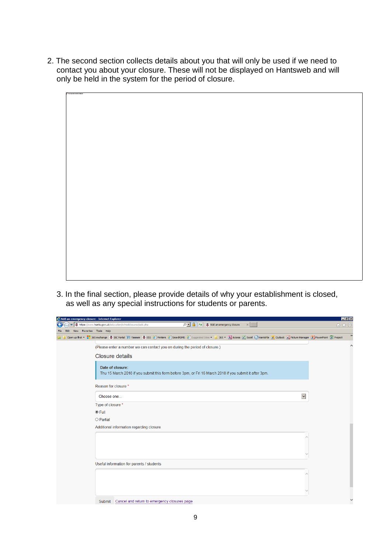2. The second section collects details about you that will only be used if we need to contact you about your closure. These will not be displayed on Hantsweb and will only be held in the system for the period of closure.



3. In the final section, please provide details of why your establishment is closed, as well as any special instructions for students or parents.

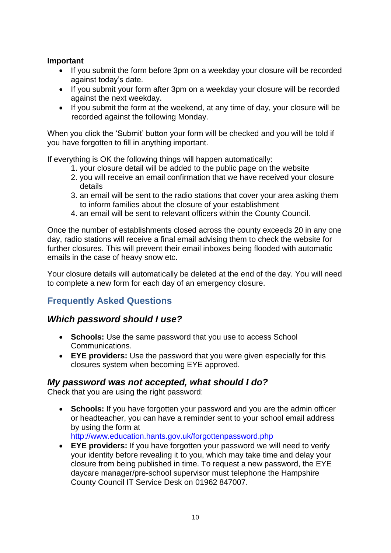#### **Important**

- If you submit the form before 3pm on a weekday your closure will be recorded against today's date.
- If you submit your form after 3pm on a weekday your closure will be recorded against the next weekday.
- If you submit the form at the weekend, at any time of day, your closure will be recorded against the following Monday.

When you click the 'Submit' button your form will be checked and you will be told if you have forgotten to fill in anything important.

If everything is OK the following things will happen automatically:

- 1. your closure detail will be added to the public page on the website
- 2. you will receive an email confirmation that we have received your closure details
- 3. an email will be sent to the radio stations that cover your area asking them to inform families about the closure of your establishment
- 4. an email will be sent to relevant officers within the County Council.

Once the number of establishments closed across the county exceeds 20 in any one day, radio stations will receive a final email advising them to check the website for further closures. This will prevent their email inboxes being flooded with automatic emails in the case of heavy snow etc.

Your closure details will automatically be deleted at the end of the day. You will need to complete a new form for each day of an emergency closure.

# **Frequently Asked Questions**

## *Which password should I use?*

- **Schools:** Use the same password that you use to access School Communications.
- **EYE providers:** Use the password that you were given especially for this closures system when becoming EYE approved.

#### *My password was not accepted, what should I do?*

Check that you are using the right password:

- **Schools:** If you have forgotten your password and you are the admin officer or headteacher, you can have a reminder sent to your school email address by using the form at <http://www.education.hants.gov.uk/forgottenpassword.php>
- **EYE providers:** If you have forgotten your password we will need to verify your identity before revealing it to you, which may take time and delay your closure from being published in time. To request a new password, the EYE daycare manager/pre-school supervisor must telephone the Hampshire County Council IT Service Desk on 01962 847007.